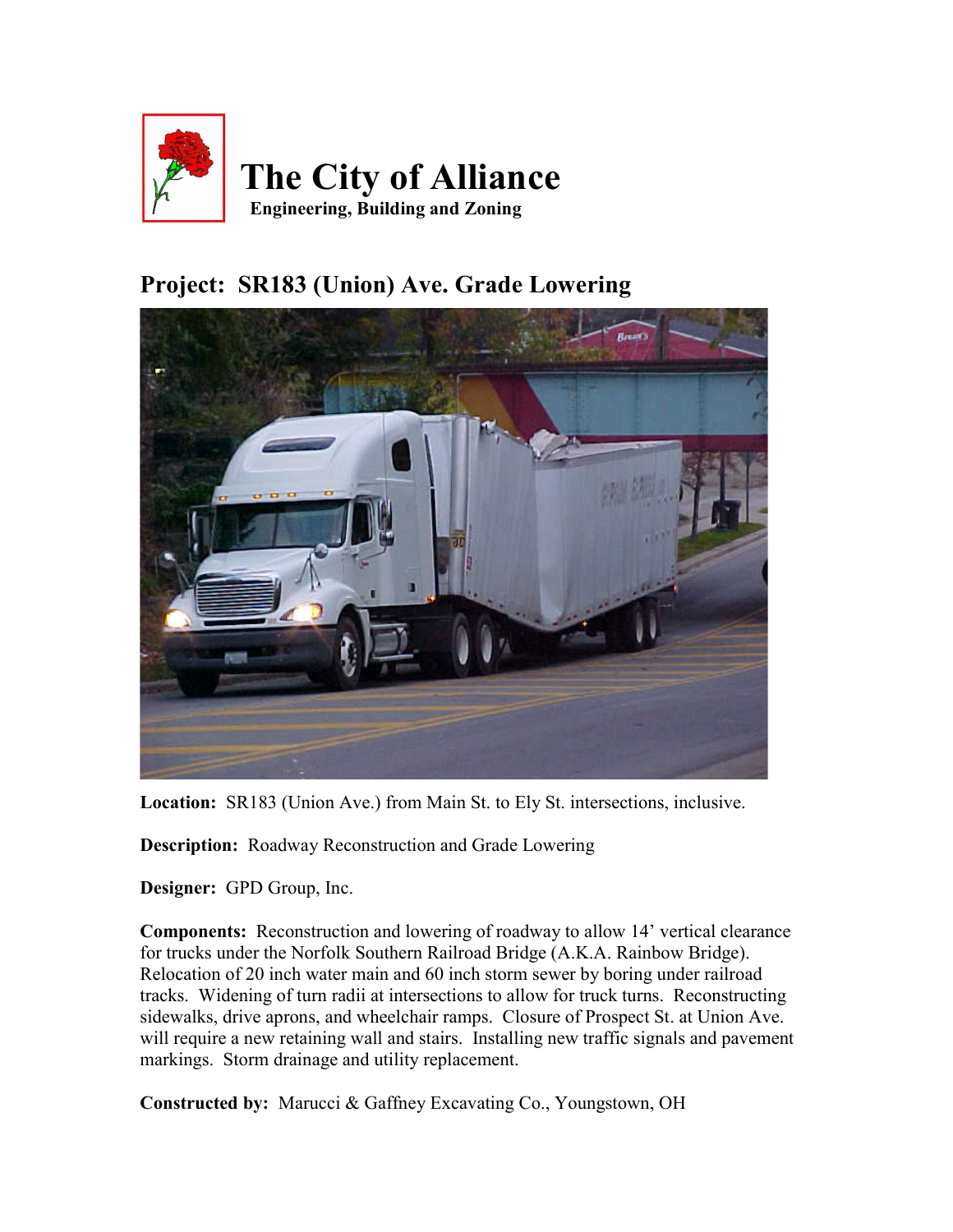

## Project: SR183 (Union) Ave. Grade Lowering



Location: SR183 (Union Ave.) from Main St. to Ely St. intersections, inclusive.

Description: Roadway Reconstruction and Grade Lowering

Designer: GPD Group, Inc.

Components: Reconstruction and lowering of roadway to allow 14' vertical clearance for trucks under the Norfolk Southern Railroad Bridge (A.K.A. Rainbow Bridge). Relocation of 20 inch water main and 60 inch storm sewer by boring under railroad tracks. Widening of turn radii at intersections to allow for truck turns. Reconstructing sidewalks, drive aprons, and wheelchair ramps. Closure of Prospect St. at Union Ave. will require a new retaining wall and stairs. Installing new traffic signals and pavement markings. Storm drainage and utility replacement.

Constructed by: Marucci & Gaffney Excavating Co., Youngstown, OH